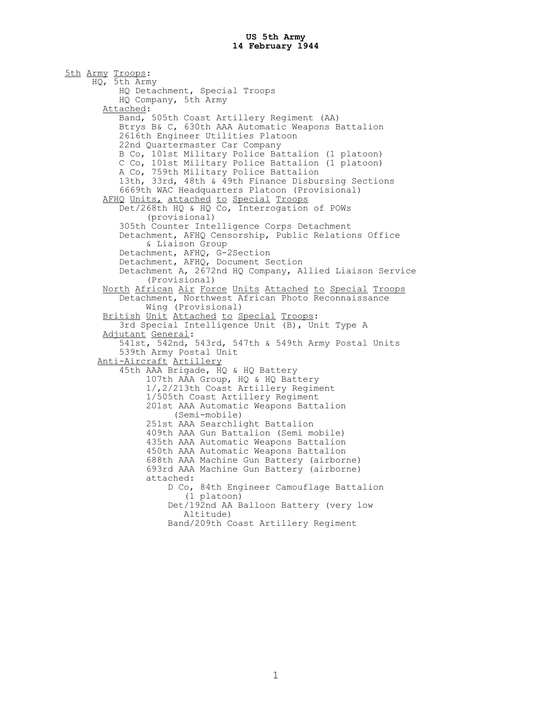5th Army Troops: HQ, 5th Army HQ Detachment, Special Troops HQ Company, 5th Army Attached: Band, 505th Coast Artillery Regiment (AA) Btrys B& C, 630th AAA Automatic Weapons Battalion 2616th Engineer Utilities Platoon 22nd Quartermaster Car Company B Co, 101st Military Police Battalion (1 platoon) C Co, 101st Military Police Battalion (1 platoon) A Co, 759th Military Police Battalion 13th, 33rd, 48th & 49th Finance Disbursing Sections 6669th WAC Headquarters Platoon (Provisional) AFHQ Units, attached to Special Troops Det/268th HQ & HQ Co, Interrogation of POWs (provisional) 305th Counter Intelligence Corps Detachment Detachment, AFHQ Censorship, Public Relations Office & Liaison Group Detachment, AFHQ, G-2Section Detachment, AFHQ, Document Section Detachment A, 2672nd HQ Company, Allied Liaison Service (Provisional) North African Air Force Units Attached to Special Troops Detachment, Northwest African Photo Reconnaissance Wing (Provisional) British Unit Attached to Special Troops: 3rd Special Intelligence Unit (B), Unit Type A Adjutant General: 541st, 542nd, 543rd, 547th & 549th Army Postal Units 539th Army Postal Unit Anti-Aircraft Artillery 45th AAA Brigade, HQ & HQ Battery 107th AAA Group, HQ & HQ Battery 1/,2/213th Coast Artillery Regiment 1/505th Coast Artillery Regiment 201st AAA Automatic Weapons Battalion (Semi-mobile) 251st AAA Searchlight Battalion 409th AAA Gun Battalion (Semi mobile) 435th AAA Automatic Weapons Battalion 450th AAA Automatic Weapons Battalion 688th AAA Machine Gun Battery (airborne) 693rd AAA Machine Gun Battery (airborne) attached: D Co, 84th Engineer Camouflage Battalion (1 platoon) Det/192nd AA Balloon Battery (very low Altitude) Band/209th Coast Artillery Regiment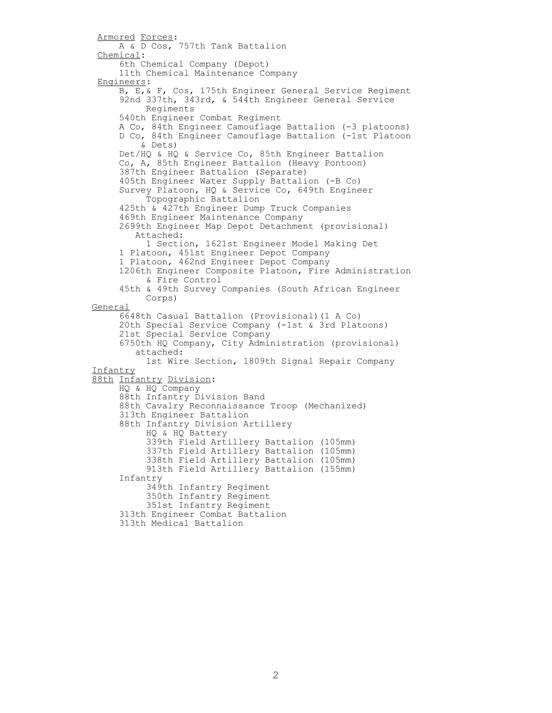Armored Forces: A & D Cos, 757th Tank Battalion Chemical: 6th Chemical Company (Depot) 11th Chemical Maintenance Company Engineers: B, E,& F, Cos, 175th Engineer General Service Regiment 92nd 337th, 343rd, & 544th Engineer General Service Regiments 540th Engineer Combat Regiment A Co, 84th Engineer Camouflage Battalion (-3 platoons) D Co, 84th Engineer Camouflage Battalion (-1st Platoon & Dets) Det/HQ & HQ & Service Co, 85th Engineer Battalion Co, A, 85th Engineer Battalion (Heavy Pontoon) 387th Engineer Battalion (Separate) 405th Engineer Water Supply Battalion (-B Co) Survey Platoon, HQ & Service Co, 649th Engineer Topographic Battalion 425th & 427th Engineer Dump Truck Companies 469th Engineer Maintenance Company 2699th Engineer Map Depot Detachment (provisional) Attached: 1 Section, 1621st Engineer Model Making Det 1 Platoon, 451st Engineer Depot Company 1 Platoon, 462nd Engineer Depot Company 1206th Engineer Composite Platoon, Fire Administration & Fire Control 45th & 49th Survey Companies (South African Engineer Corps) General 6648th Casual Battalion (Provisional)(1 A Co) 20th Special Service Company (-1st & 3rd Platoons) 21st Special Service Company 6750th HQ Company, City Administration (provisional) attached: 1st Wire Section, 1809th Signal Repair Company Infantry 88th Infantry Division: HQ & HQ Company 88th Infantry Division Band 88th Cavalry Reconnaissance Troop (Mechanized) 313th Engineer Battalion 88th Infantry Division Artillery HQ & HQ Battery 339th Field Artillery Battalion (105mm) 337th Field Artillery Battalion (105mm) 338th Field Artillery Battalion (105mm) 913th Field Artillery Battalion (155mm) Infantry 349th Infantry Regiment 350th Infantry Regiment 351st Infantry Regiment 313th Engineer Combat Battalion 313th Medical Battalion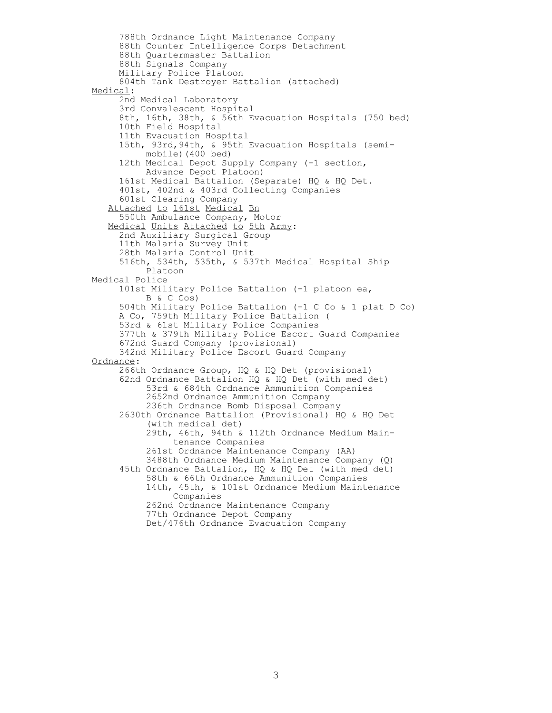788th Ordnance Light Maintenance Company 88th Counter Intelligence Corps Detachment 88th Quartermaster Battalion 88th Signals Company Military Police Platoon 804th Tank Destroyer Battalion (attached) Medical: 2nd Medical Laboratory 3rd Convalescent Hospital 8th, 16th, 38th, & 56th Evacuation Hospitals (750 bed) 10th Field Hospital 11th Evacuation Hospital 15th, 93rd,94th, & 95th Evacuation Hospitals (semi mobile)(400 bed) 12th Medical Depot Supply Company (-1 section, Advance Depot Platoon) 161st Medical Battalion (Separate) HQ & HQ Det. 401st, 402nd & 403rd Collecting Companies 601st Clearing Company Attached to 161st Medical Bn 550th Ambulance Company, Motor Medical Units Attached to 5th Army: 2nd Auxiliary Surgical Group 11th Malaria Survey Unit 28th Malaria Control Unit 516th, 534th, 535th, & 537th Medical Hospital Ship Platoon Medical Police 101st Military Police Battalion (-1 platoon ea, B & C Cos) 504th Military Police Battalion (-1 C Co & 1 plat D Co) A Co, 759th Military Police Battalion ( 53rd & 61st Military Police Companies 377th & 379th Military Police Escort Guard Companies 672nd Guard Company (provisional) 342nd Military Police Escort Guard Company Ordnance: 266th Ordnance Group, HQ & HQ Det (provisional) 62nd Ordnance Battalion HQ & HQ Det (with med det) 53rd & 684th Ordnance Ammunition Companies 2652nd Ordnance Ammunition Company 236th Ordnance Bomb Disposal Company 2630th Ordnance Battalion (Provisional) HQ & HQ Det (with medical det) 29th, 46th, 94th & 112th Ordnance Medium Main tenance Companies 261st Ordnance Maintenance Company (AA) 3488th Ordnance Medium Maintenance Company (Q) 45th Ordnance Battalion, HQ & HQ Det (with med det) 58th & 66th Ordnance Ammunition Companies 14th, 45th, & 101st Ordnance Medium Maintenance Companies 262nd Ordnance Maintenance Company 77th Ordnance Depot Company Det/476th Ordnance Evacuation Company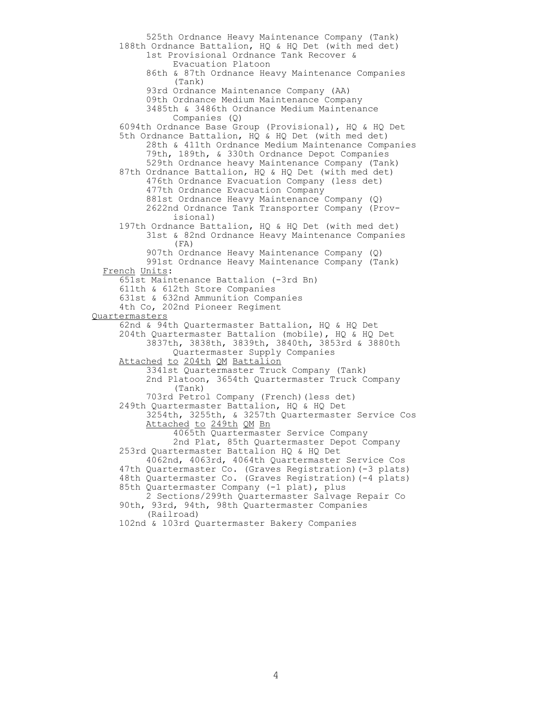525th Ordnance Heavy Maintenance Company (Tank) 188th Ordnance Battalion, HQ & HQ Det (with med det) 1st Provisional Ordnance Tank Recover & Evacuation Platoon 86th & 87th Ordnance Heavy Maintenance Companies (Tank) 93rd Ordnance Maintenance Company (AA) 09th Ordnance Medium Maintenance Company 3485th & 3486th Ordnance Medium Maintenance Companies (Q) 6094th Ordnance Base Group (Provisional), HQ & HQ Det 5th Ordnance Battalion, HO & HO Det (with med det) 28th & 411th Ordnance Medium Maintenance Companies 79th, 189th, & 330th Ordnance Depot Companies 529th Ordnance heavy Maintenance Company (Tank) 87th Ordnance Battalion, HQ & HQ Det (with med det) 476th Ordnance Evacuation Company (less det) 477th Ordnance Evacuation Company 881st Ordnance Heavy Maintenance Company (Q) 2622nd Ordnance Tank Transporter Company (Prov isional) 197th Ordnance Battalion, HQ & HQ Det (with med det) 31st & 82nd Ordnance Heavy Maintenance Companies (FA) 907th Ordnance Heavy Maintenance Company (Q) 991st Ordnance Heavy Maintenance Company (Tank) French Units: 651st Maintenance Battalion (-3rd Bn) 611th & 612th Store Companies 631st & 632nd Ammunition Companies 4th Co, 202nd Pioneer Regiment Quartermasters 62nd & 94th Quartermaster Battalion, HQ & HQ Det 204th Quartermaster Battalion (mobile), HQ & HQ Det 3837th, 3838th, 3839th, 3840th, 3853rd & 3880th Quartermaster Supply Companies Attached to 204th QM Battalion 3341st Quartermaster Truck Company (Tank) 2nd Platoon, 3654th Quartermaster Truck Company (Tank) 703rd Petrol Company (French)(less det) 249th Quartermaster Battalion, HQ & HQ Det 3254th, 3255th, & 3257th Quartermaster Service Cos Attached to 249th QM Bn 4065th Quartermaster Service Company 2nd Plat, 85th Quartermaster Depot Company 253rd Quartermaster Battalion HQ & HQ Det 4062nd, 4063rd, 4064th Quartermaster Service Cos 47th Quartermaster Co. (Graves Registration)(-3 plats) 48th Quartermaster Co. (Graves Registration)(-4 plats) 85th Quartermaster Company (-1 plat), plus 2 Sections/299th Quartermaster Salvage Repair Co 90th, 93rd, 94th, 98th Quartermaster Companies (Railroad) 102nd & 103rd Quartermaster Bakery Companies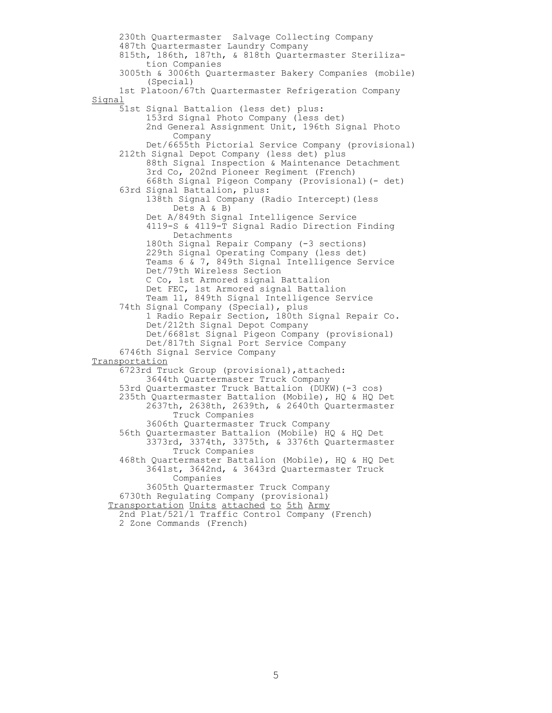230th Quartermaster Salvage Collecting Company 487th Quartermaster Laundry Company 815th, 186th, 187th, & 818th Quartermaster Steriliza tion Companies 3005th & 3006th Quartermaster Bakery Companies (mobile) (Special) 1st Platoon/67th Quartermaster Refrigeration Company Signal 51st Signal Battalion (less det) plus: 153rd Signal Photo Company (less det) 2nd General Assignment Unit, 196th Signal Photo Company Det/6655th Pictorial Service Company (provisional) 212th Signal Depot Company (less det) plus 88th Signal Inspection & Maintenance Detachment 3rd Co, 202nd Pioneer Regiment (French) 668th Signal Pigeon Company (Provisional)(- det) 63rd Signal Battalion, plus: 138th Signal Company (Radio Intercept)(less Dets A & B) Det A/849th Signal Intelligence Service 4119-S & 4119-T Signal Radio Direction Finding Detachments 180th Signal Repair Company (-3 sections) 229th Signal Operating Company (less det) Teams 6 & 7, 849th Signal Intelligence Service Det/79th Wireless Section C Co, 1st Armored signal Battalion Det FEC, 1st Armored signal Battalion Team 11, 849th Signal Intelligence Service 74th Signal Company (Special), plus 1 Radio Repair Section, 180th Signal Repair Co. Det/212th Signal Depot Company Det/6681st Signal Pigeon Company (provisional) Det/817th Signal Port Service Company 6746th Signal Service Company **Transportation**  6723rd Truck Group (provisional),attached: 3644th Quartermaster Truck Company 53rd Quartermaster Truck Battalion (DUKW)(-3 cos) 235th Quartermaster Battalion (Mobile), HQ & HQ Det 2637th, 2638th, 2639th, & 2640th Quartermaster Truck Companies 3606th Quartermaster Truck Company 56th Quartermaster Battalion (Mobile) HQ & HQ Det 3373rd, 3374th, 3375th, & 3376th Quartermaster Truck Companies 468th Quartermaster Battalion (Mobile), HQ & HQ Det 3641st, 3642nd, & 3643rd Quartermaster Truck Companies 3605th Quartermaster Truck Company 6730th Regulating Company (provisional) Transportation Units attached to 5th Army 2nd Plat/521/1 Traffic Control Company (French) 2 Zone Commands (French)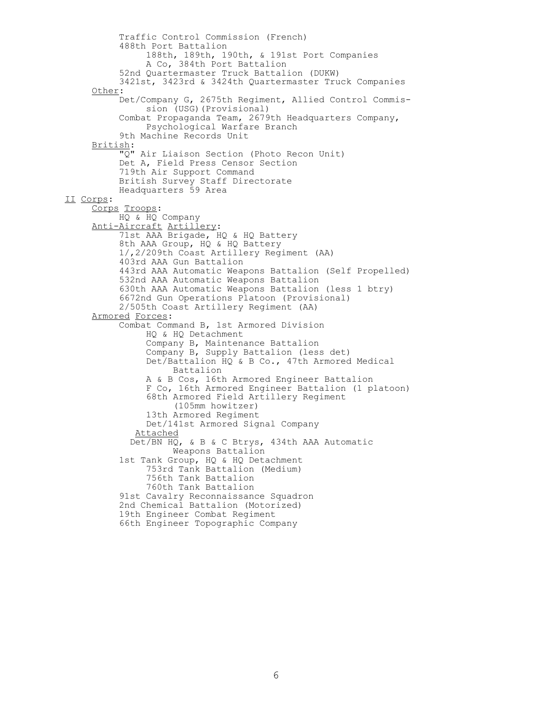Traffic Control Commission (French) 488th Port Battalion 188th, 189th, 190th, & 191st Port Companies A Co, 384th Port Battalion 52nd Quartermaster Truck Battalion (DUKW) 3421st, 3423rd & 3424th Quartermaster Truck Companies Other: Det/Company G, 2675th Regiment, Allied Control Commis sion (USG)(Provisional) Combat Propaganda Team, 2679th Headquarters Company, Psychological Warfare Branch 9th Machine Records Unit British: "Q" Air Liaison Section (Photo Recon Unit) Det A, Field Press Censor Section 719th Air Support Command British Survey Staff Directorate Headquarters 59 Area II Corps: Corps Troops: HQ & HQ Company Anti-Aircraft Artillery: 71st AAA Brigade, HQ & HQ Battery 8th AAA Group, HQ & HQ Battery 1/,2/209th Coast Artillery Regiment (AA) 403rd AAA Gun Battalion 443rd AAA Automatic Weapons Battalion (Self Propelled) 532nd AAA Automatic Weapons Battalion 630th AAA Automatic Weapons Battalion (less 1 btry) 6672nd Gun Operations Platoon (Provisional) 2/505th Coast Artillery Regiment (AA) Armored Forces: Combat Command B, 1st Armored Division HQ & HQ Detachment Company B, Maintenance Battalion Company B, Supply Battalion (less det) Det/Battalion HQ & B Co., 47th Armored Medical Battalion A & B Cos, 16th Armored Engineer Battalion F Co, 16th Armored Engineer Battalion (1 platoon) 68th Armored Field Artillery Regiment (105mm howitzer) 13th Armored Regiment Det/141st Armored Signal Company Attached Det/BN HQ, & B & C Btrys, 434th AAA Automatic Weapons Battalion 1st Tank Group, HQ & HQ Detachment 753rd Tank Battalion (Medium) 756th Tank Battalion 760th Tank Battalion 91st Cavalry Reconnaissance Squadron 2nd Chemical Battalion (Motorized) 19th Engineer Combat Regiment 66th Engineer Topographic Company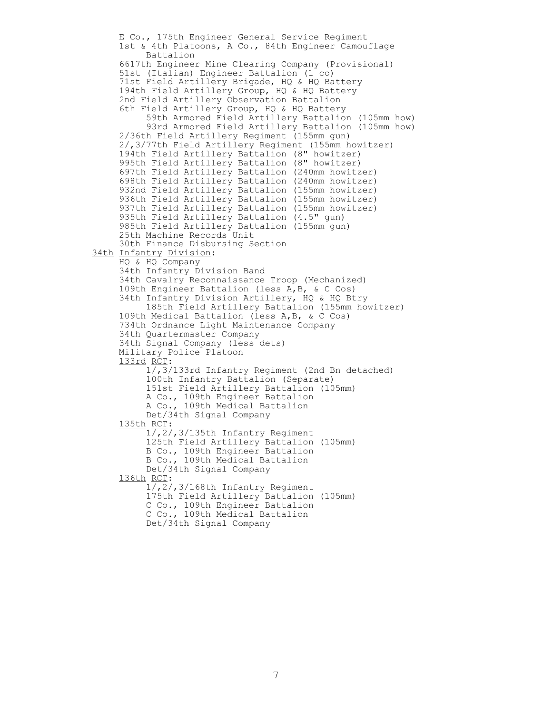E Co., 175th Engineer General Service Regiment 1st & 4th Platoons, A Co., 84th Engineer Camouflage Battalion 6617th Engineer Mine Clearing Company (Provisional) 51st (Italian) Engineer Battalion (1 co) 71st Field Artillery Brigade, HQ & HQ Battery 194th Field Artillery Group, HQ & HQ Battery 2nd Field Artillery Observation Battalion 6th Field Artillery Group, HQ & HQ Battery 59th Armored Field Artillery Battalion (105mm how) 93rd Armored Field Artillery Battalion (105mm how) 2/36th Field Artillery Regiment (155mm gun) 2/,3/77th Field Artillery Regiment (155mm howitzer) 194th Field Artillery Battalion (8" howitzer) 995th Field Artillery Battalion (8" howitzer) 697th Field Artillery Battalion (240mm howitzer) 698th Field Artillery Battalion (240mm howitzer) 932nd Field Artillery Battalion (155mm howitzer) 936th Field Artillery Battalion (155mm howitzer) 937th Field Artillery Battalion (155mm howitzer) 935th Field Artillery Battalion (4.5" gun) 985th Field Artillery Battalion (155mm gun) 25th Machine Records Unit 30th Finance Disbursing Section 34th Infantry Division: HQ & HQ Company 34th Infantry Division Band 34th Cavalry Reconnaissance Troop (Mechanized) 109th Engineer Battalion (less A,B, & C Cos) 34th Infantry Division Artillery, HQ & HQ Btry 185th Field Artillery Battalion (155mm howitzer) 109th Medical Battalion (less A,B, & C Cos) 734th Ordnance Light Maintenance Company 34th Quartermaster Company 34th Signal Company (less dets) Military Police Platoon 133rd RCT:  $1/7,3/133$ rd Infantry Regiment (2nd Bn detached) 100th Infantry Battalion (Separate) 151st Field Artillery Battalion (105mm) A Co., 109th Engineer Battalion A Co., 109th Medical Battalion Det/34th Signal Company 135th RCT: 1/,2/,3/135th Infantry Regiment 125th Field Artillery Battalion (105mm) B Co., 109th Engineer Battalion B Co., 109th Medical Battalion Det/34th Signal Company 136th RCT: 1/,2/,3/168th Infantry Regiment 175th Field Artillery Battalion (105mm) C Co., 109th Engineer Battalion C Co., 109th Medical Battalion Det/34th Signal Company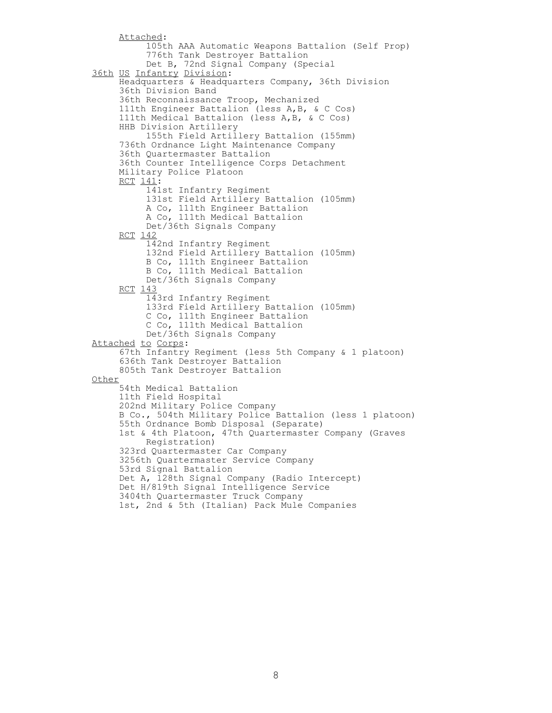```
 Attached:
           105th AAA Automatic Weapons Battalion (Self Prop)
          776th Tank Destroyer Battalion
          Det B, 72nd Signal Company (Special
 36th US Infantry Division:
      Headquarters & Headquarters Company, 36th Division
      36th Division Band
      36th Reconnaissance Troop, Mechanized
      111th Engineer Battalion (less A,B, & C Cos)
      111th Medical Battalion (less A,B, & C Cos)
      HHB Division Artillery
           155th Field Artillery Battalion (155mm)
      736th Ordnance Light Maintenance Company
      36th Quartermaster Battalion
      36th Counter Intelligence Corps Detachment
      Military Police Platoon
      RCT 141:
           141st Infantry Regiment 
          131st Field Artillery Battalion (105mm)
          A Co, 111th Engineer Battalion 
          A Co, 111th Medical Battalion 
          Det/36th Signals Company
      RCT 142
           142nd Infantry Regiment 
          132nd Field Artillery Battalion (105mm)
          B Co, 111th Engineer Battalion 
          B Co, 111th Medical Battalion 
          Det/36th Signals Company
      RCT 143
           143rd Infantry Regiment 
          133rd Field Artillery Battalion (105mm)
          C Co, 111th Engineer Battalion 
          C Co, 111th Medical Battalion 
           Det/36th Signals Company
 Attached to Corps: 
      67th Infantry Regiment (less 5th Company & 1 platoon)
      636th Tank Destroyer Battalion
      805th Tank Destroyer Battalion
 Other
      54th Medical Battalion
      11th Field Hospital
      202nd Military Police Company
      B Co., 504th Military Police Battalion (less 1 platoon)
      55th Ordnance Bomb Disposal (Separate)
      1st & 4th Platoon, 47th Quartermaster Company (Graves
           Registration)
      323rd Quartermaster Car Company
      3256th Quartermaster Service Company
      53rd Signal Battalion
      Det A, 128th Signal Company (Radio Intercept)
      Det H/819th Signal Intelligence Service
      3404th Quartermaster Truck Company
      1st, 2nd & 5th (Italian) Pack Mule Companies
```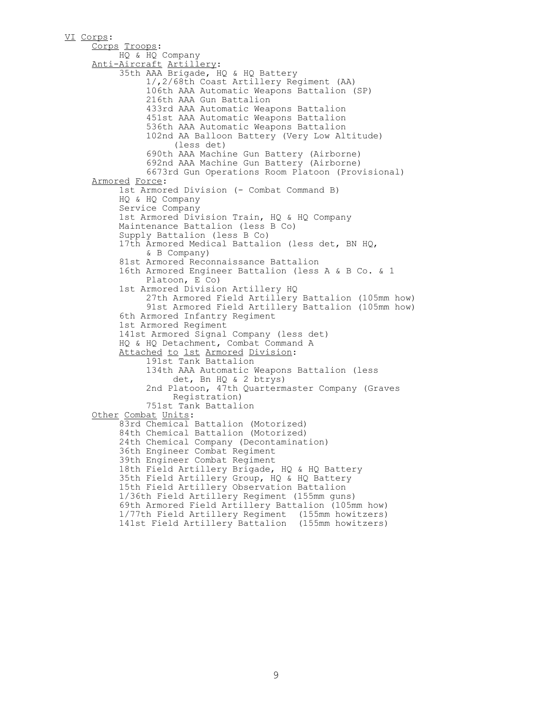VI Corps: Corps Troops: HQ & HQ Company Anti-Aircraft Artillery: 35th AAA Brigade, HQ & HQ Battery 1/,2/68th Coast Artillery Regiment (AA) 106th AAA Automatic Weapons Battalion (SP) 216th AAA Gun Battalion 433rd AAA Automatic Weapons Battalion 451st AAA Automatic Weapons Battalion 536th AAA Automatic Weapons Battalion 102nd AA Balloon Battery (Very Low Altitude) (less det) 690th AAA Machine Gun Battery (Airborne) 692nd AAA Machine Gun Battery (Airborne) 6673rd Gun Operations Room Platoon (Provisional) Armored Force: 1st Armored Division (- Combat Command B) HQ & HQ Company Service Company 1st Armored Division Train, HQ & HQ Company Maintenance Battalion (less B Co) Supply Battalion (less B Co) 17th Armored Medical Battalion (less det, BN HQ, & B Company) 81st Armored Reconnaissance Battalion 16th Armored Engineer Battalion (less A & B Co. & 1 Platoon, E Co) 1st Armored Division Artillery HQ 27th Armored Field Artillery Battalion (105mm how) 91st Armored Field Artillery Battalion (105mm how) 6th Armored Infantry Regiment 1st Armored Regiment 141st Armored Signal Company (less det) HQ & HQ Detachment, Combat Command A Attached to 1st Armored Division: 191st Tank Battalion 134th AAA Automatic Weapons Battalion (less det, Bn HQ & 2 btrys) 2nd Platoon, 47th Quartermaster Company (Graves Registration) 751st Tank Battalion Other Combat Units: 83rd Chemical Battalion (Motorized) 84th Chemical Battalion (Motorized) 24th Chemical Company (Decontamination) 36th Engineer Combat Regiment 39th Engineer Combat Regiment 18th Field Artillery Brigade, HQ & HQ Battery 35th Field Artillery Group, HQ & HQ Battery 15th Field Artillery Observation Battalion 1/36th Field Artillery Regiment (155mm guns) 69th Armored Field Artillery Battalion (105mm how) 1/77th Field Artillery Regiment (155mm howitzers) 141st Field Artillery Battalion (155mm howitzers)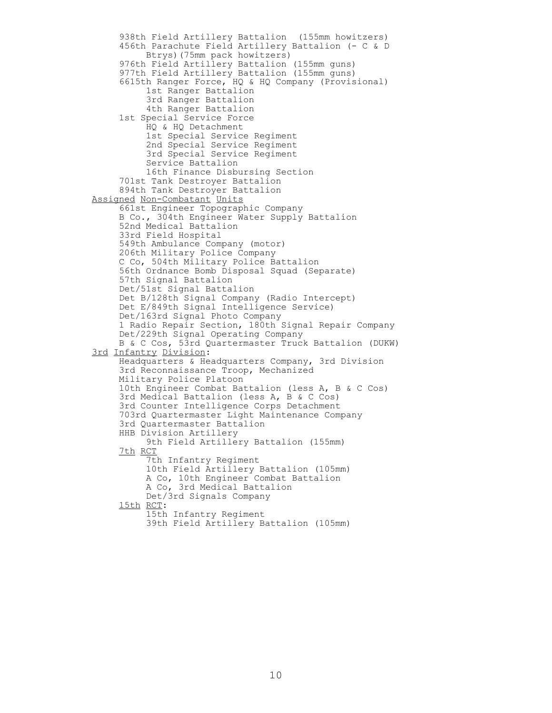938th Field Artillery Battalion (155mm howitzers) 456th Parachute Field Artillery Battalion (- C & D Btrys)(75mm pack howitzers) 976th Field Artillery Battalion (155mm guns) 977th Field Artillery Battalion (155mm guns) 6615th Ranger Force, HQ & HQ Company (Provisional) 1st Ranger Battalion 3rd Ranger Battalion 4th Ranger Battalion 1st Special Service Force HQ & HQ Detachment 1st Special Service Regiment 2nd Special Service Regiment 3rd Special Service Regiment Service Battalion 16th Finance Disbursing Section 701st Tank Destroyer Battalion 894th Tank Destroyer Battalion Assigned Non-Combatant Units 661st Engineer Topographic Company B Co., 304th Engineer Water Supply Battalion 52nd Medical Battalion 33rd Field Hospital 549th Ambulance Company (motor) 206th Military Police Company C Co, 504th Military Police Battalion 56th Ordnance Bomb Disposal Squad (Separate) 57th Signal Battalion Det/51st Signal Battalion Det B/128th Signal Company (Radio Intercept) Det E/849th Signal Intelligence Service) Det/163rd Signal Photo Company 1 Radio Repair Section, 180th Signal Repair Company Det/229th Signal Operating Company B & C Cos, 53rd Quartermaster Truck Battalion (DUKW) 3rd Infantry Division: Headquarters & Headquarters Company, 3rd Division 3rd Reconnaissance Troop, Mechanized Military Police Platoon 10th Engineer Combat Battalion (less A, B & C Cos) 3rd Medical Battalion (less A, B & C Cos) 3rd Counter Intelligence Corps Detachment 703rd Quartermaster Light Maintenance Company 3rd Quartermaster Battalion HHB Division Artillery 9th Field Artillery Battalion (155mm) 7th RCT 7th Infantry Regiment 10th Field Artillery Battalion (105mm) A Co, 10th Engineer Combat Battalion A Co, 3rd Medical Battalion Det/3rd Signals Company 15th RCT: 15th Infantry Regiment 39th Field Artillery Battalion (105mm)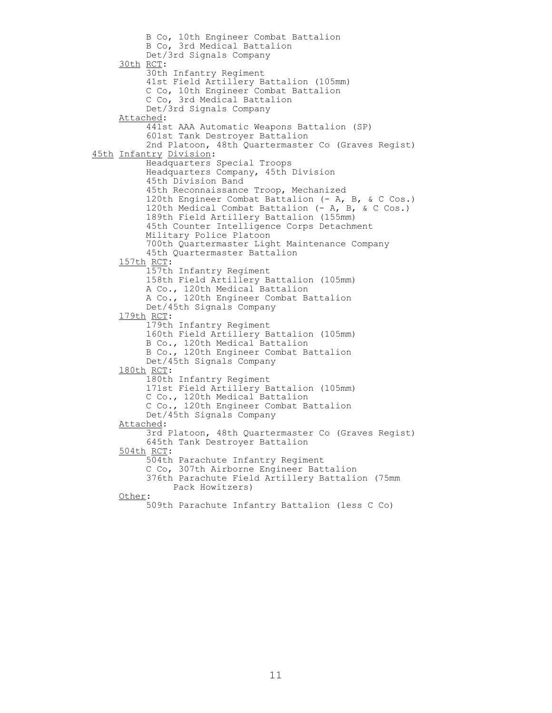B Co, 10th Engineer Combat Battalion B Co, 3rd Medical Battalion Det/3rd Signals Company 30th RCT: 30th Infantry Regiment 41st Field Artillery Battalion (105mm) C Co, 10th Engineer Combat Battalion C Co, 3rd Medical Battalion Det/3rd Signals Company Attached: 441st AAA Automatic Weapons Battalion (SP) 601st Tank Destroyer Battalion 2nd Platoon, 48th Quartermaster Co (Graves Regist) 45th Infantry Division: Headquarters Special Troops Headquarters Company, 45th Division 45th Division Band 45th Reconnaissance Troop, Mechanized 120th Engineer Combat Battalion (- A, B, & C Cos.) 120th Medical Combat Battalion (- A, B, & C Cos.) 189th Field Artillery Battalion (155mm) 45th Counter Intelligence Corps Detachment Military Police Platoon 700th Quartermaster Light Maintenance Company 45th Quartermaster Battalion 157th RCT: 157th Infantry Regiment 158th Field Artillery Battalion (105mm) A Co., 120th Medical Battalion A Co., 120th Engineer Combat Battalion Det/45th Signals Company 179th RCT: 179th Infantry Regiment 160th Field Artillery Battalion (105mm) B Co., 120th Medical Battalion B Co., 120th Engineer Combat Battalion Det/45th Signals Company 180th RCT: 180th Infantry Regiment 171st Field Artillery Battalion (105mm) C Co., 120th Medical Battalion C Co., 120th Engineer Combat Battalion Det/45th Signals Company Attached: 3rd Platoon, 48th Quartermaster Co (Graves Regist) 645th Tank Destroyer Battalion 504th RCT: 504th Parachute Infantry Regiment C Co, 307th Airborne Engineer Battalion 376th Parachute Field Artillery Battalion (75mm Pack Howitzers) Other: 509th Parachute Infantry Battalion (less C Co)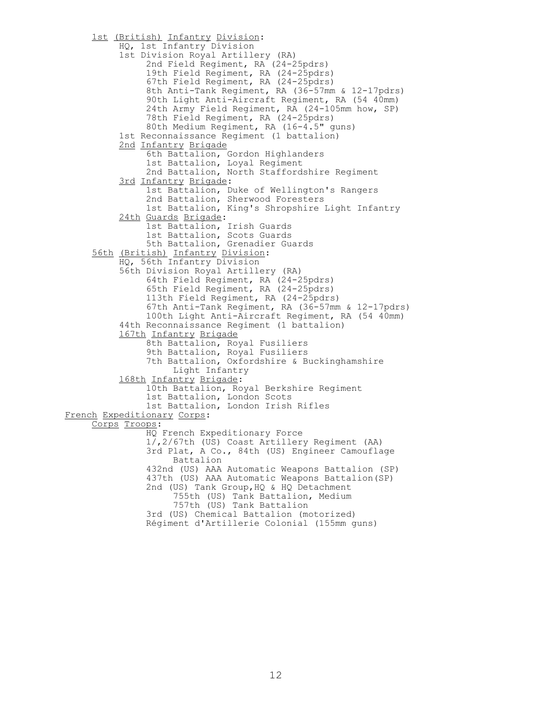1st (British) Infantry Division: HQ, 1st Infantry Division 1st Division Royal Artillery (RA) 2nd Field Regiment, RA (24-25pdrs) 19th Field Regiment, RA (24-25pdrs) 67th Field Regiment, RA (24-25pdrs) 8th Anti-Tank Regiment, RA (36-57mm & 12-17pdrs) 90th Light Anti-Aircraft Regiment, RA (54 40mm) 24th Army Field Regiment, RA (24-105mm how, SP) 78th Field Regiment, RA (24-25pdrs) 80th Medium Regiment, RA (16-4.5" guns) 1st Reconnaissance Regiment (1 battalion) 2nd Infantry Brigade 6th Battalion, Gordon Highlanders 1st Battalion, Loyal Regiment 2nd Battalion, North Staffordshire Regiment 3rd Infantry Brigade: 1st Battalion, Duke of Wellington's Rangers 2nd Battalion, Sherwood Foresters 1st Battalion, King's Shropshire Light Infantry 24th Guards Brigade: 1st Battalion, Irish Guards 1st Battalion, Scots Guards 5th Battalion, Grenadier Guards 56th (British) Infantry Division: HQ, 56th Infantry Division 56th Division Royal Artillery (RA) 64th Field Regiment, RA (24-25pdrs) 65th Field Regiment, RA (24-25pdrs) 113th Field Regiment, RA (24-25pdrs) 67th Anti-Tank Regiment, RA (36-57mm & 12-17pdrs) 100th Light Anti-Aircraft Regiment, RA (54 40mm) 44th Reconnaissance Regiment (1 battalion) 167th Infantry Brigade 8th Battalion, Royal Fusiliers 9th Battalion, Royal Fusiliers 7th Battalion, Oxfordshire & Buckinghamshire Light Infantry 168th Infantry Brigade: 10th Battalion, Royal Berkshire Regiment 1st Battalion, London Scots 1st Battalion, London Irish Rifles French Expeditionary Corps: Corps Troops: HQ French Expeditionary Force 1/,2/67th (US) Coast Artillery Regiment (AA) 3rd Plat, A Co., 84th (US) Engineer Camouflage Battalion 432nd (US) AAA Automatic Weapons Battalion (SP) 437th (US) AAA Automatic Weapons Battalion(SP) 2nd (US) Tank Group, HO & HO Detachment 755th (US) Tank Battalion, Medium 757th (US) Tank Battalion 3rd (US) Chemical Battalion (motorized) Régiment d'Artillerie Colonial (155mm guns)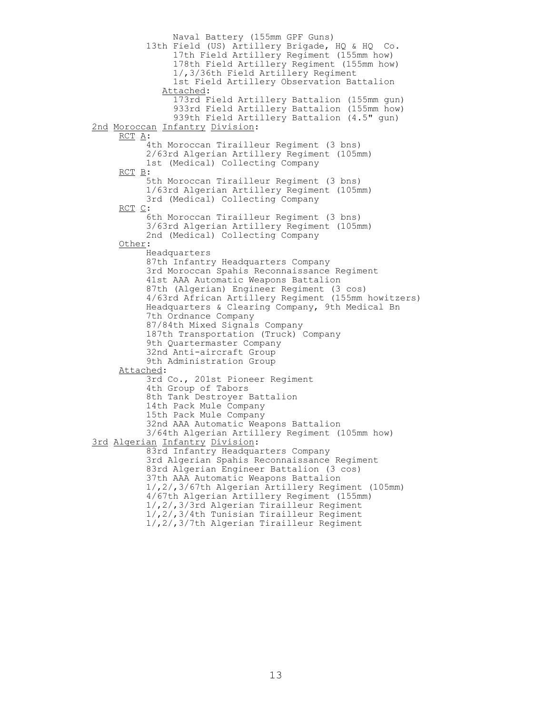Naval Battery (155mm GPF Guns) 13th Field (US) Artillery Brigade, HQ & HQ Co. 17th Field Artillery Regiment (155mm how) 178th Field Artillery Regiment (155mm how) 1/,3/36th Field Artillery Regiment 1st Field Artillery Observation Battalion Attached: 173rd Field Artillery Battalion (155mm gun) 933rd Field Artillery Battalion (155mm how) 939th Field Artillery Battalion (4.5" gun) 2nd Moroccan Infantry Division: RCT A: 4th Moroccan Tirailleur Regiment (3 bns) 2/63rd Algerian Artillery Regiment (105mm) 1st (Medical) Collecting Company RCT B: 5th Moroccan Tirailleur Regiment (3 bns) 1/63rd Algerian Artillery Regiment (105mm) 3rd (Medical) Collecting Company RCT C: 6th Moroccan Tirailleur Regiment (3 bns) 3/63rd Algerian Artillery Regiment (105mm) 2nd (Medical) Collecting Company Other: Headquarters 87th Infantry Headquarters Company 3rd Moroccan Spahis Reconnaissance Regiment 41st AAA Automatic Weapons Battalion 87th (Algerian) Engineer Regiment (3 cos) 4/63rd African Artillery Regiment (155mm howitzers) Headquarters & Clearing Company, 9th Medical Bn 7th Ordnance Company 87/84th Mixed Signals Company 187th Transportation (Truck) Company 9th Quartermaster Company 32nd Anti-aircraft Group 9th Administration Group Attached: 3rd Co., 201st Pioneer Regiment 4th Group of Tabors 8th Tank Destroyer Battalion 14th Pack Mule Company 15th Pack Mule Company 32nd AAA Automatic Weapons Battalion 3/64th Algerian Artillery Regiment (105mm how) 3rd Algerian Infantry Division: 83rd Infantry Headquarters Company 3rd Algerian Spahis Reconnaissance Regiment 83rd Algerian Engineer Battalion (3 cos) 37th AAA Automatic Weapons Battalion 1/,2/,3/67th Algerian Artillery Regiment (105mm) 4/67th Algerian Artillery Regiment (155mm) 1/,2/,3/3rd Algerian Tirailleur Regiment 1/,2/,3/4th Tunisian Tirailleur Regiment 1/,2/,3/7th Algerian Tirailleur Regiment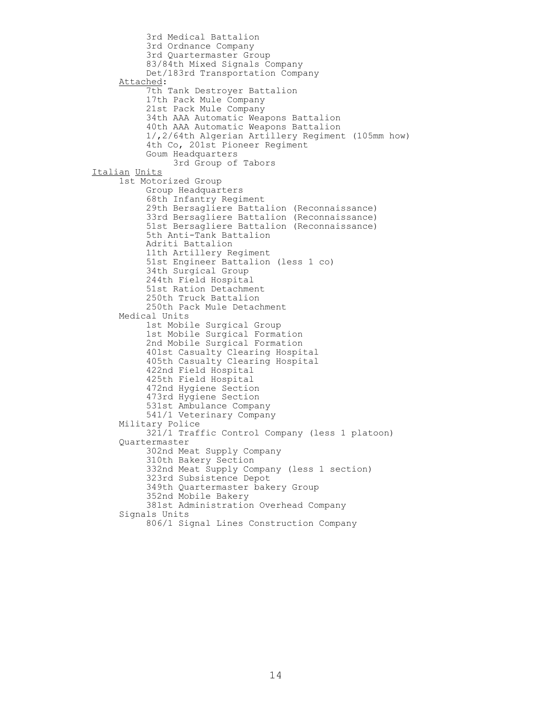3rd Medical Battalion 3rd Ordnance Company 3rd Quartermaster Group 83/84th Mixed Signals Company Det/183rd Transportation Company Attached: 7th Tank Destroyer Battalion 17th Pack Mule Company 21st Pack Mule Company 34th AAA Automatic Weapons Battalion 40th AAA Automatic Weapons Battalion 1/,2/64th Algerian Artillery Regiment (105mm how) 4th Co, 201st Pioneer Regiment Goum Headquarters 3rd Group of Tabors Italian Units 1st Motorized Group Group Headquarters 68th Infantry Regiment 29th Bersagliere Battalion (Reconnaissance) 33rd Bersagliere Battalion (Reconnaissance) 51st Bersagliere Battalion (Reconnaissance) 5th Anti-Tank Battalion Adriti Battalion 11th Artillery Regiment 51st Engineer Battalion (less 1 co) 34th Surgical Group 244th Field Hospital 51st Ration Detachment 250th Truck Battalion 250th Pack Mule Detachment Medical Units 1st Mobile Surgical Group 1st Mobile Surgical Formation 2nd Mobile Surgical Formation 401st Casualty Clearing Hospital 405th Casualty Clearing Hospital 422nd Field Hospital 425th Field Hospital 472nd Hygiene Section 473rd Hygiene Section 531st Ambulance Company 541/1 Veterinary Company Military Police 321/1 Traffic Control Company (less 1 platoon) Quartermaster 302nd Meat Supply Company 310th Bakery Section 332nd Meat Supply Company (less 1 section) 323rd Subsistence Depot 349th Quartermaster bakery Group 352nd Mobile Bakery 381st Administration Overhead Company Signals Units 806/1 Signal Lines Construction Company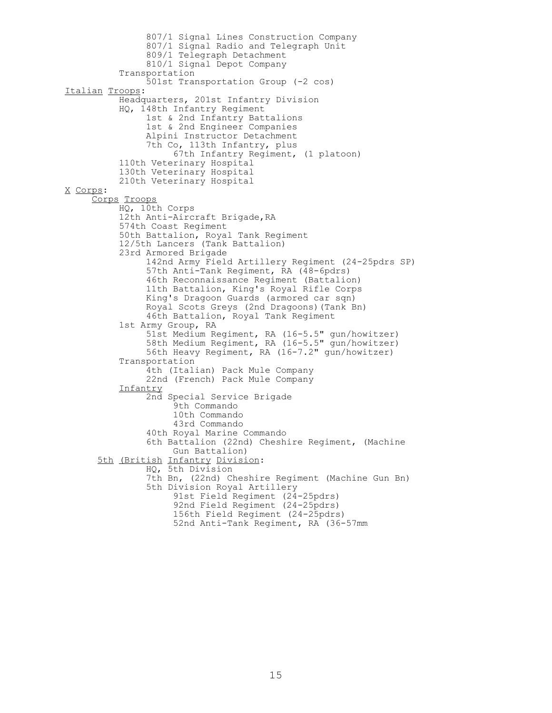```
 807/1 Signal Lines Construction Company
               807/1 Signal Radio and Telegraph Unit
               809/1 Telegraph Detachment 
                810/1 Signal Depot Company
           Transportation
                501st Transportation Group (-2 cos)
Italian Troops:
           Headquarters, 201st Infantry Division
           HQ, 148th Infantry Regiment
                1st & 2nd Infantry Battalions
               1st & 2nd Engineer Companies
               Alpini Instructor Detachment
               7th Co, 113th Infantry, plus
                     67th Infantry Regiment, (1 platoon)
           110th Veterinary Hospital
           130th Veterinary Hospital
           210th Veterinary Hospital
X Corps:
      Corps Troops
           HQ, 10th Corps
          12th Anti-Aircraft Brigade, RA
           574th Coast Regiment
           50th Battalion, Royal Tank Regiment
           12/5th Lancers (Tank Battalion)
           23rd Armored Brigade
                142nd Army Field Artillery Regiment (24-25pdrs SP)
               57th Anti-Tank Regiment, RA (48-6pdrs)
 46th Reconnaissance Regiment (Battalion)
               11th Battalion, King's Royal Rifle Corps
               King's Dragoon Guards (armored car sqn)
               Royal Scots Greys (2nd Dragoons)(Tank Bn)
               46th Battalion, Royal Tank Regiment
           1st Army Group, RA
                51st Medium Regiment, RA (16-5.5" gun/howitzer)
                58th Medium Regiment, RA (16-5.5" gun/howitzer)
               56th Heavy Regiment, RA (16-7.2" gun/howitzer)
           Transportation
                4th (Italian) Pack Mule Company
               22nd (French) Pack Mule Company
           Infantry
                2nd Special Service Brigade
                     9th Commando 
                    10th Commando 
                    43rd Commando 
                40th Royal Marine Commando 
               6th Battalion (22nd) Cheshire Regiment, (Machine 
                     Gun Battalion)
       5th (British Infantry Division:
                HQ, 5th Division
               7th Bn, (22nd) Cheshire Regiment (Machine Gun Bn)
               5th Division Royal Artillery
                     91st Field Regiment (24-25pdrs)
                    92nd Field Regiment (24-25pdrs)
                    156th Field Regiment (24-25pdrs)
                    52nd Anti-Tank Regiment, RA (36-57mm
```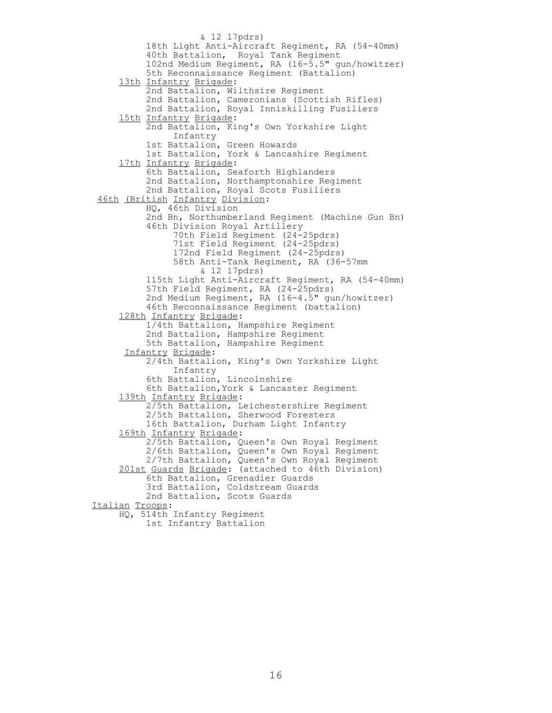& 12 17pdrs) 18th Light Anti-Aircraft Regiment, RA (54-40mm) 40th Battalion, Royal Tank Regiment 102nd Medium Regiment, RA (16-5.5" gun/howitzer) 5th Reconnaissance Regiment (Battalion) 13th Infantry Brigade: 2nd Battalion, Wilthsire Regiment 2nd Battalion, Cameronians (Scottish Rifles) 2nd Battalion, Royal Inniskilling Fusiliers 15th Infantry Brigade: 2nd Battalion, King's Own Yorkshire Light Infantry 1st Battalion, Green Howards 1st Battalion, York & Lancashire Regiment 17th Infantry Brigade: 6th Battalion, Seaforth Highlanders 2nd Battalion, Northamptonshire Regiment 2nd Battalion, Royal Scots Fusiliers 46th (British Infantry Division: HQ, 46th Division 2nd Bn, Northumberland Regiment (Machine Gun Bn) 46th Division Royal Artillery 70th Field Regiment (24-25pdrs) 71st Field Regiment (24-25pdrs) 172nd Field Regiment (24-25pdrs) 58th Anti-Tank Regiment, RA (36-57mm & 12 17pdrs) 115th Light Anti-Aircraft Regiment, RA (54-40mm) 57th Field Regiment, RA (24-25pdrs) 2nd Medium Regiment, RA (16-4.5" gun/howitzer) 46th Reconnaissance Regiment (battalion) 128th Infantry Brigade: 1/4th Battalion, Hampshire Regiment 2nd Battalion, Hampshire Regiment 5th Battalion, Hampshire Regiment Infantry Brigade: 2/4th Battalion, King's Own Yorkshire Light Infantry 6th Battalion, Lincolnshire 6th Battalion,York & Lancaster Regiment 139th Infantry Brigade: 2/5th Battalion, Leichestershire Regiment 2/5th Battalion, Sherwood Foresters 16th Battalion, Durham Light Infantry 169th Infantry Brigade: 2/5th Battalion, Queen's Own Royal Regiment 2/6th Battalion, Queen's Own Royal Regiment 2/7th Battalion, Queen's Own Royal Regiment 201st Guards Brigade: (attached to 46th Division) 6th Battalion, Grenadier Guards 3rd Battalion, Coldstream Guards 2nd Battalion, Scots Guards Italian Troops: HQ, 514th Infantry Regiment 1st Infantry Battalion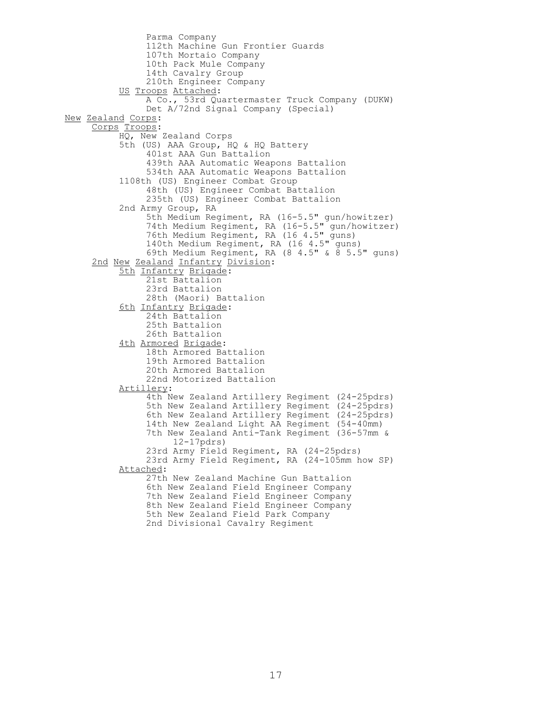Parma Company 112th Machine Gun Frontier Guards 107th Mortaio Company 10th Pack Mule Company 14th Cavalry Group 210th Engineer Company US Troops Attached: A Co., 53rd Quartermaster Truck Company (DUKW) Det A/72nd Signal Company (Special) New Zealand Corps: Corps Troops: HQ, New Zealand Corps 5th (US) AAA Group, HQ & HQ Battery 401st AAA Gun Battalion 439th AAA Automatic Weapons Battalion 534th AAA Automatic Weapons Battalion 1108th (US) Engineer Combat Group 48th (US) Engineer Combat Battalion 235th (US) Engineer Combat Battalion 2nd Army Group, RA 5th Medium Regiment, RA (16-5.5" gun/howitzer) 74th Medium Regiment, RA (16-5.5" gun/howitzer) 76th Medium Regiment, RA (16 4.5" guns) 140th Medium Regiment, RA (16 4.5" guns) 69th Medium Regiment, RA  $(8\;4.5" \; \& \; 8\; 5.5"$  guns) 2nd New Zealand Infantry Division: 5th Infantry Brigade: 21st Battalion 23rd Battalion 28th (Maori) Battalion 6th Infantry Brigade: 24th Battalion 25th Battalion 26th Battalion 4th Armored Brigade: 18th Armored Battalion 19th Armored Battalion 20th Armored Battalion 22nd Motorized Battalion Artillery: 4th New Zealand Artillery Regiment (24-25pdrs) 5th New Zealand Artillery Regiment (24-25pdrs) 6th New Zealand Artillery Regiment (24-25pdrs) 14th New Zealand Light AA Regiment (54-40mm) 7th New Zealand Anti-Tank Regiment (36-57mm & 12-17pdrs) 23rd Army Field Regiment, RA (24-25pdrs) 23rd Army Field Regiment, RA (24-105mm how SP) Attached: 27th New Zealand Machine Gun Battalion 6th New Zealand Field Engineer Company 7th New Zealand Field Engineer Company 8th New Zealand Field Engineer Company 5th New Zealand Field Park Company 2nd Divisional Cavalry Regiment